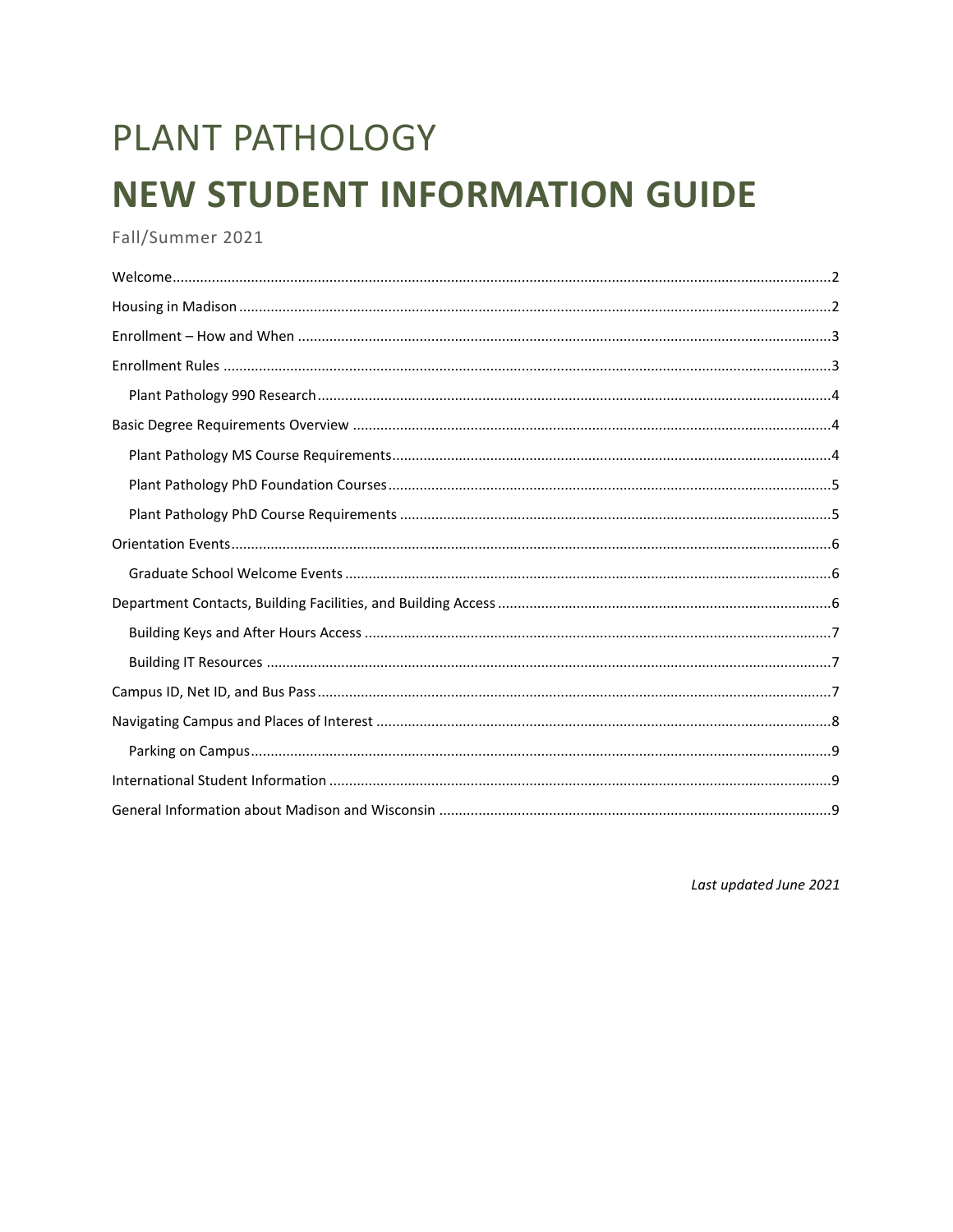# PLANT PATHOLOGY **NEW STUDENT INFORMATION GUIDE**

Fall/Summer 2021

Last updated June 2021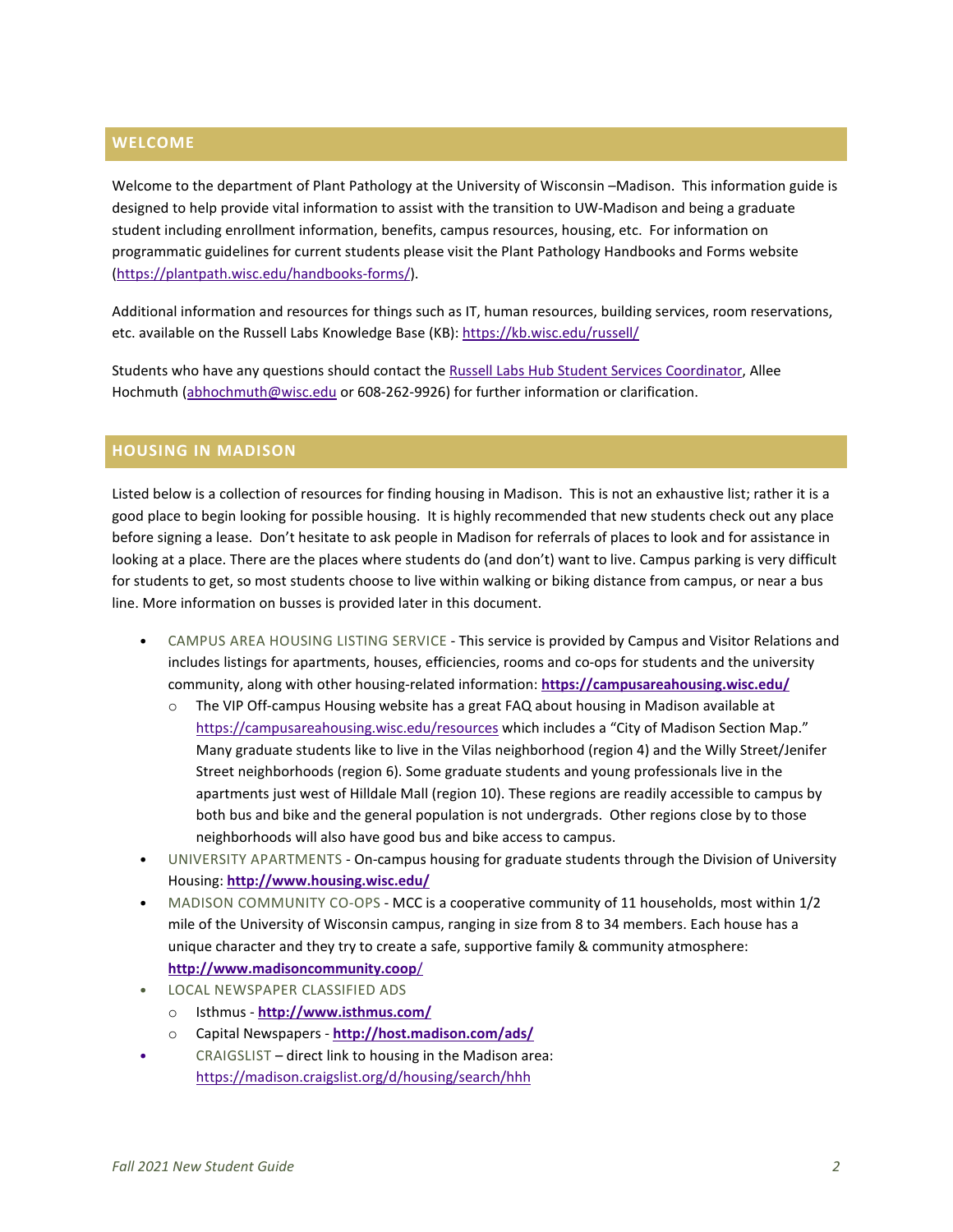# <span id="page-1-0"></span>**WELCOME**

Welcome to the department of Plant Pathology at the University of Wisconsin –Madison. This information guide is designed to help provide vital information to assist with the transition to UW-Madison and being a graduate student including enrollment information, benefits, campus resources, housing, etc. For information on programmatic guidelines for current students please visit the Plant Pathology Handbooks and Forms website [\(https://plantpath.wisc.edu/handbooks-forms/\)](https://plantpath.wisc.edu/handbooks-forms/).

Additional information and resources for things such as IT, human resources, building services, room reservations, etc. available on the Russell Labs Knowledge Base (KB)[: https://kb.wisc.edu/russell/](https://kb.wisc.edu/russell/)

Students who have any questions should contact th[e Russell Labs Hub Student Services Coordinator,](https://hub.russell.wisc.edu/student-services/) Allee Hochmuth [\(abhochmuth@wisc.edu](mailto:abhochmuth@wisc.edu) or 608-262-9926) for further information or clarification.

# <span id="page-1-1"></span>**HOUSING IN MADISON**

Listed below is a collection of resources for finding housing in Madison. This is not an exhaustive list; rather it is a good place to begin looking for possible housing. It is highly recommended that new students check out any place before signing a lease. Don't hesitate to ask people in Madison for referrals of places to look and for assistance in looking at a place. There are the places where students do (and don't) want to live. Campus parking is very difficult for students to get, so most students choose to live within walking or biking distance from campus, or near a bus line. More information on busses is provided later in this document.

- CAMPUS AREA HOUSING LISTING SERVICE This service is provided by Campus and Visitor Relations and includes listings for apartments, houses, efficiencies, rooms and co-ops for students and the university community, along with other housing-related information: **<https://campusareahousing.wisc.edu/>**
	- $\circ$  The VIP Off-campus Housing website has a great FAQ about housing in Madison available at <https://campusareahousing.wisc.edu/resources> which includes a "City of Madison Section Map." Many graduate students like to live in the Vilas neighborhood (region 4) and the Willy Street/Jenifer Street neighborhoods (region 6). Some graduate students and young professionals live in the apartments just west of Hilldale Mall (region 10). These regions are readily accessible to campus by both bus and bike and the general population is not undergrads. Other regions close by to those neighborhoods will also have good bus and bike access to campus.
- UNIVERSITY APARTMENTS On-campus housing for graduate students through the Division of University Housing: **<http://www.housing.wisc.edu/>**
- MADISON COMMUNITY CO-OPS MCC is a cooperative community of 11 households, most within 1/2 mile of the University of Wisconsin campus, ranging in size from 8 to 34 members. Each house has a unique character and they try to create a safe, supportive family & community atmosphere: **[http://www.madisoncommunity.coop](http://www.madisoncommunity.coop/)**/
- LOCAL NEWSPAPER CLASSIFIED ADS
	- o Isthmus **<http://www.isthmus.com/>**
	- o Capital Newspapers **[http://host.madison.com/ads/](http://host.madison.com/ads/#tracking-source=main-nav)**
- CRAIGSLIST direct link to housing in the Madison area: <https://madison.craigslist.org/d/housing/search/hhh>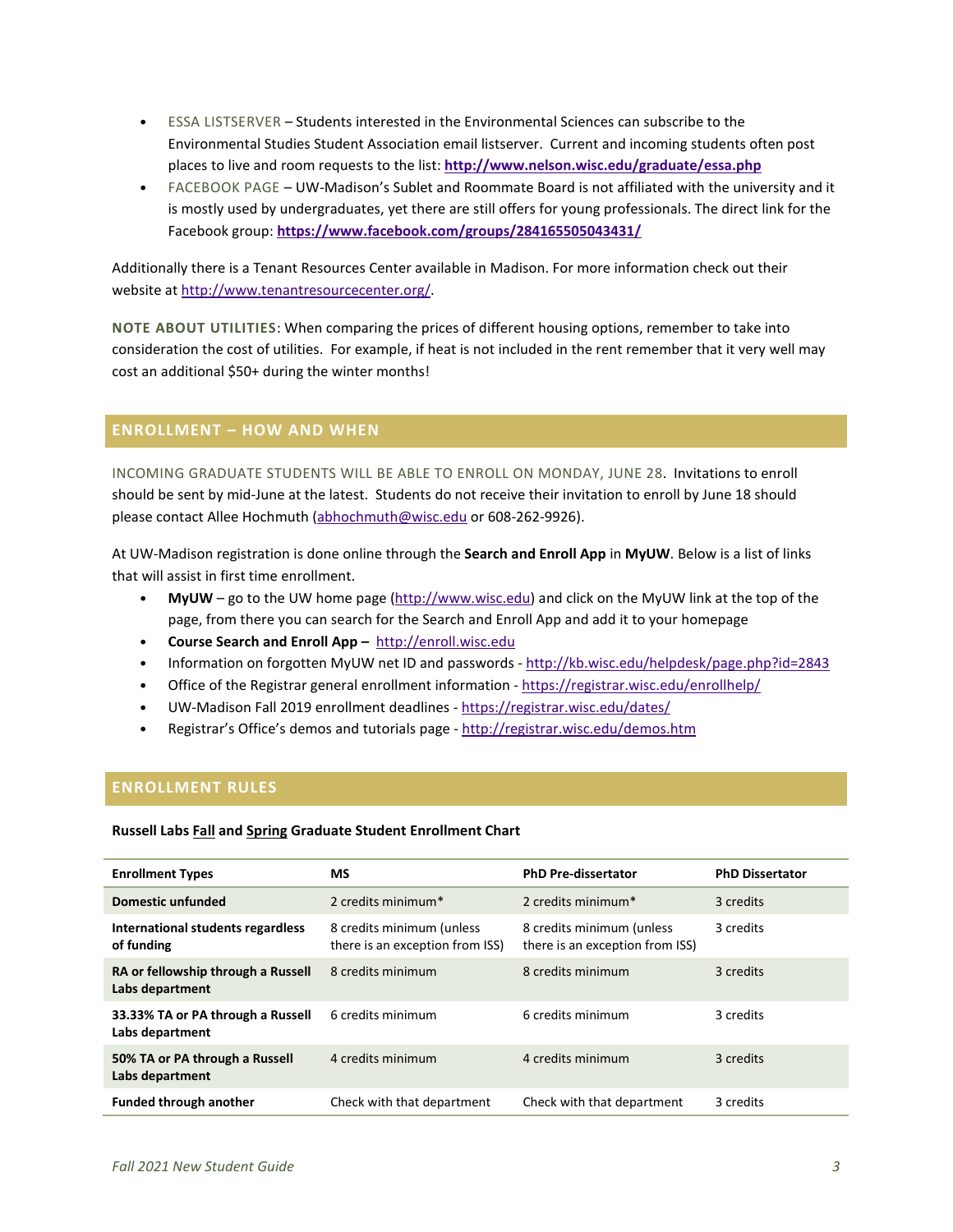- ESSA LISTSERVER Students interested in the Environmental Sciences can subscribe to the Environmental Studies Student Association email listserver. Current and incoming students often post places to live and room requests to the list: **<http://www.nelson.wisc.edu/graduate/essa.php>**
- FACEBOOK PAGE UW-Madison's Sublet and Roommate Board is not affiliated with the university and it is mostly used by undergraduates, yet there are still offers for young professionals. The direct link for the Facebook group: **<https://www.facebook.com/groups/284165505043431/>**

Additionally there is a Tenant Resources Center available in Madison. For more information check out their website a[t http://www.tenantresourcecenter.org/.](http://www.tenantresourcecenter.org/)

**NOTE ABOUT UTILITIES**: When comparing the prices of different housing options, remember to take into consideration the cost of utilities. For example, if heat is not included in the rent remember that it very well may cost an additional \$50+ during the winter months!

# <span id="page-2-0"></span>**ENROLLMENT – HOW AND WHEN**

INCOMING GRADUATE STUDENTS WILL BE ABLE TO ENROLL ON MONDAY, JUNE 28. Invitations to enroll should be sent by mid-June at the latest. Students do not receive their invitation to enroll by June 18 should please contact Allee Hochmuth [\(abhochmuth@wisc.edu](mailto:abhochmuth@wisc.edu) or 608-262-9926).

At UW-Madison registration is done online through the **Search and Enroll App** in **MyUW**. Below is a list of links that will assist in first time enrollment.

- **MyUW** go to the UW home page [\(http://www.wisc.edu\)](http://www.wisc.edu/) and click on the MyUW link at the top of the page, from there you can search for the Search and Enroll App and add it to your homepage
- **Course Search and Enroll App –** [http://enroll.wisc.edu](http://enroll.wisc.edu/)
- Information on forgotten MyUW net ID and passwords <http://kb.wisc.edu/helpdesk/page.php?id=2843>
- Office of the Registrar general enrollment information <https://registrar.wisc.edu/enrollhelp/>
- UW-Madison Fall 2019 enrollment deadlines <https://registrar.wisc.edu/dates/>
- Registrar's Office's demos and tutorials page <http://registrar.wisc.edu/demos.htm>

# <span id="page-2-1"></span>**ENROLLMENT RULES**

**Russell Labs Fall and Spring Graduate Student Enrollment Chart**

| <b>Enrollment Types</b>                               | <b>MS</b>                                                    | <b>PhD Pre-dissertator</b>                                   | <b>PhD Dissertator</b> |
|-------------------------------------------------------|--------------------------------------------------------------|--------------------------------------------------------------|------------------------|
| Domestic unfunded                                     | 2 credits minimum*                                           | 2 credits minimum*                                           | 3 credits              |
| International students regardless<br>of funding       | 8 credits minimum (unless<br>there is an exception from ISS) | 8 credits minimum (unless<br>there is an exception from ISS) | 3 credits              |
| RA or fellowship through a Russell<br>Labs department | 8 credits minimum                                            | 8 credits minimum                                            | 3 credits              |
| 33.33% TA or PA through a Russell<br>Labs department  | 6 credits minimum                                            | 6 credits minimum                                            | 3 credits              |
| 50% TA or PA through a Russell<br>Labs department     | 4 credits minimum                                            | 4 credits minimum                                            | 3 credits              |
| <b>Funded through another</b>                         | Check with that department                                   | Check with that department                                   | 3 credits              |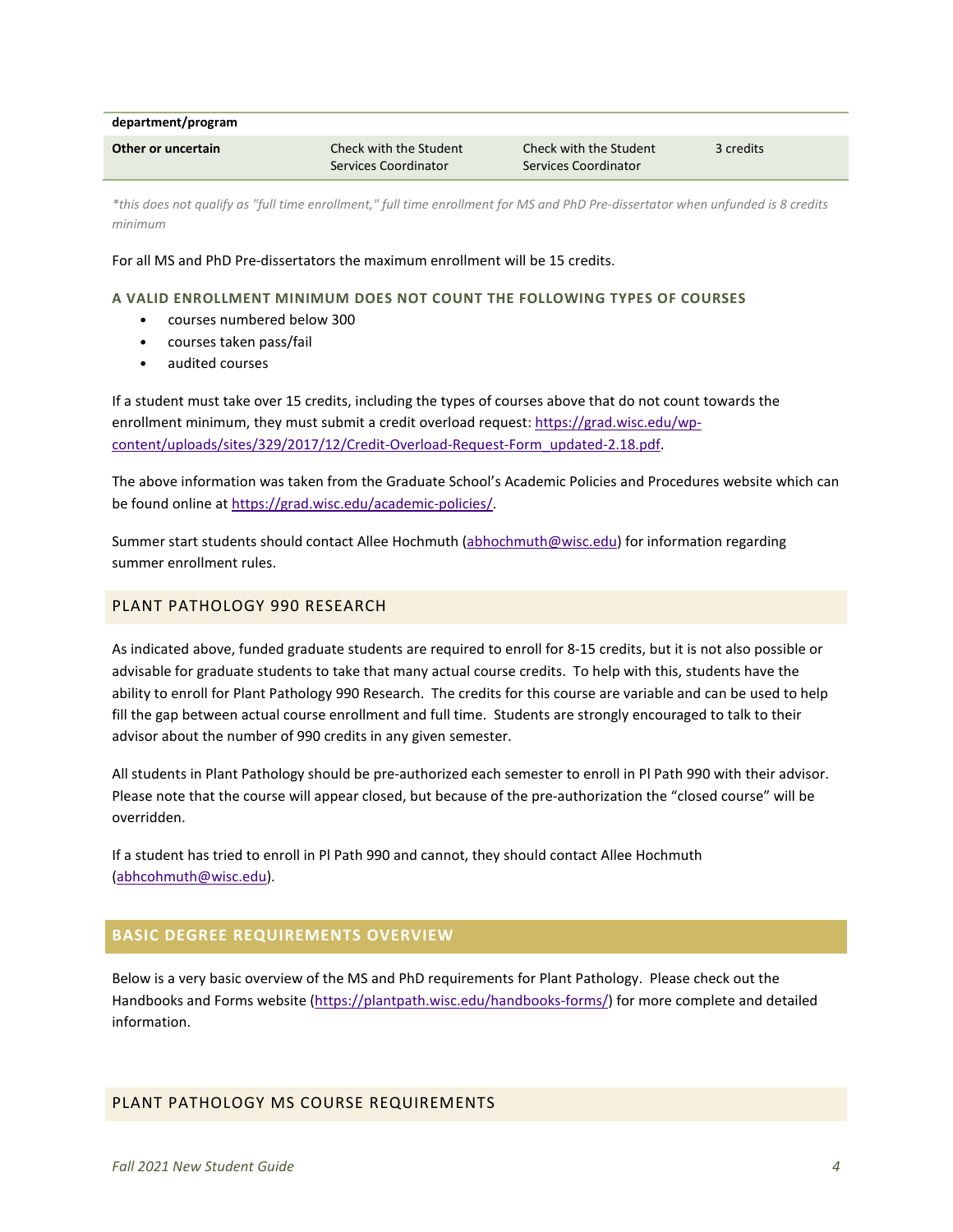**department/program**

| Other or uncertain | Check with the Student | Check with the Student | 3 credits |
|--------------------|------------------------|------------------------|-----------|
|                    | Services Coordinator   | Services Coordinator   |           |

*\*this does not qualify as "full time enrollment," full time enrollment for MS and PhD Pre-dissertator when unfunded is 8 credits minimum*

For all MS and PhD Pre-dissertators the maximum enrollment will be 15 credits.

#### **A VALID ENROLLMENT MINIMUM DOES NOT COUNT THE FOLLOWING TYPES OF COURSES**

- courses numbered below 300
- courses taken pass/fail
- audited courses

If a student must take over 15 credits, including the types of courses above that do not count towards the enrollment minimum, they must submit a credit overload request: [https://grad.wisc.edu/wp](https://grad.wisc.edu/wp-content/uploads/sites/329/2017/12/Credit-Overload-Request-Form_updated-2.18.pdf)[content/uploads/sites/329/2017/12/Credit-Overload-Request-Form\\_updated-2.18.pdf.](https://grad.wisc.edu/wp-content/uploads/sites/329/2017/12/Credit-Overload-Request-Form_updated-2.18.pdf)

The above information was taken from the Graduate School's Academic Policies and Procedures website which can be found online at [https://grad.wisc.edu/academic-policies/.](https://grad.wisc.edu/academic-policies/)

Summer start students should contact Allee Hochmuth [\(abhochmuth@wisc.edu\)](mailto:abhochmuth@wisc.edu) for information regarding summer enrollment rules.

## <span id="page-3-0"></span>PLANT PATHOLOGY 990 RESEARCH

As indicated above, funded graduate students are required to enroll for 8-15 credits, but it is not also possible or advisable for graduate students to take that many actual course credits. To help with this, students have the ability to enroll for Plant Pathology 990 Research. The credits for this course are variable and can be used to help fill the gap between actual course enrollment and full time. Students are strongly encouraged to talk to their advisor about the number of 990 credits in any given semester.

All students in Plant Pathology should be pre-authorized each semester to enroll in Pl Path 990 with their advisor. Please note that the course will appear closed, but because of the pre-authorization the "closed course" will be overridden.

If a student has tried to enroll in Pl Path 990 and cannot, they should contact Allee Hochmuth [\(abhcohmuth@wisc.edu\)](mailto:abhcohmuth@wisc.edu).

# <span id="page-3-1"></span>**BASIC DEGREE REQUIREMENTS OVERVIEW**

Below is a very basic overview of the MS and PhD requirements for Plant Pathology. Please check out the Handbooks and Forms website [\(https://plantpath.wisc.edu/handbooks-forms/\)](https://plantpath.wisc.edu/handbooks-forms/) for more complete and detailed information.

## <span id="page-3-2"></span>PLANT PATHOLOGY MS COURSE REQUIREMENTS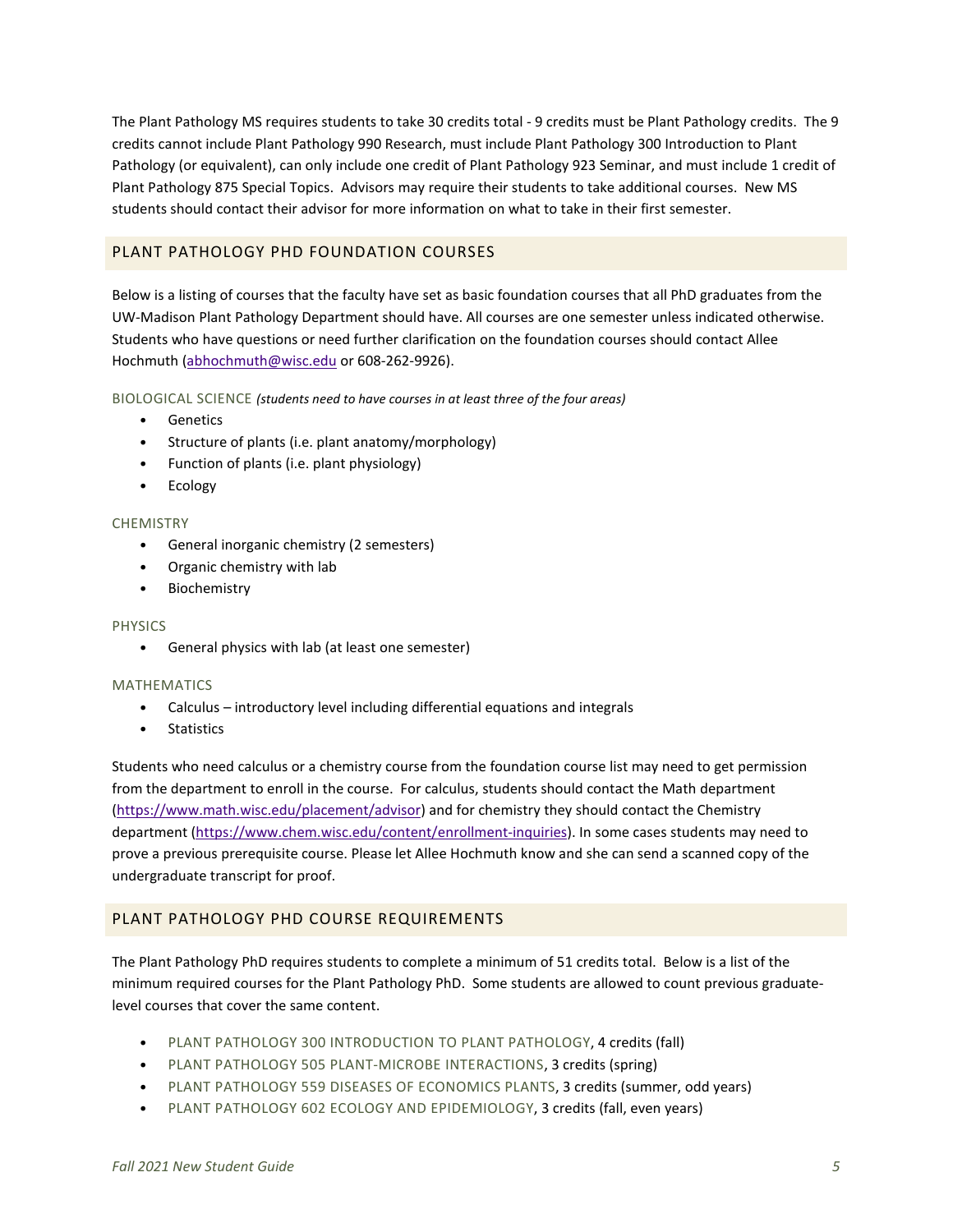The Plant Pathology MS requires students to take 30 credits total - 9 credits must be Plant Pathology credits. The 9 credits cannot include Plant Pathology 990 Research, must include Plant Pathology 300 Introduction to Plant Pathology (or equivalent), can only include one credit of Plant Pathology 923 Seminar, and must include 1 credit of Plant Pathology 875 Special Topics. Advisors may require their students to take additional courses. New MS students should contact their advisor for more information on what to take in their first semester.

# <span id="page-4-0"></span>PLANT PATHOLOGY PHD FOUNDATION COURSES

Below is a listing of courses that the faculty have set as basic foundation courses that all PhD graduates from the UW-Madison Plant Pathology Department should have. All courses are one semester unless indicated otherwise. Students who have questions or need further clarification on the foundation courses should contact Allee Hochmuth [\(abhochmuth@wisc.edu](mailto:abhochmuth@wisc.edu) or 608-262-9926).

BIOLOGICAL SCIENCE *(students need to have courses in at least three of the four areas)*

- Genetics
- Structure of plants (i.e. plant anatomy/morphology)
- Function of plants (i.e. plant physiology)
- Ecology

## **CHEMISTRY**

- General inorganic chemistry (2 semesters)
- Organic chemistry with lab
- Biochemistry

#### **PHYSICS**

• General physics with lab (at least one semester)

#### MATHEMATICS

- Calculus introductory level including differential equations and integrals
- Statistics

Students who need calculus or a chemistry course from the foundation course list may need to get permission from the department to enroll in the course. For calculus, students should contact the Math department [\(https://www.math.wisc.edu/placement/advisor\)](https://www.math.wisc.edu/placement/advisor) and for chemistry they should contact the Chemistry department [\(https://www.chem.wisc.edu/content/enrollment-inquiries\)](https://www.chem.wisc.edu/content/enrollment-inquiries). In some cases students may need to prove a previous prerequisite course. Please let Allee Hochmuth know and she can send a scanned copy of the undergraduate transcript for proof.

## <span id="page-4-1"></span>PLANT PATHOLOGY PHD COURSE REQUIREMENTS

The Plant Pathology PhD requires students to complete a minimum of 51 credits total. Below is a list of the minimum required courses for the Plant Pathology PhD. Some students are allowed to count previous graduatelevel courses that cover the same content.

- PLANT PATHOLOGY 300 INTRODUCTION TO PLANT PATHOLOGY, 4 credits (fall)
- PLANT PATHOLOGY 505 PLANT-MICROBE INTERACTIONS, 3 credits (spring)
- PLANT PATHOLOGY 559 DISEASES OF ECONOMICS PLANTS, 3 credits (summer, odd years)
- PLANT PATHOLOGY 602 ECOLOGY AND EPIDEMIOLOGY, 3 credits (fall, even years)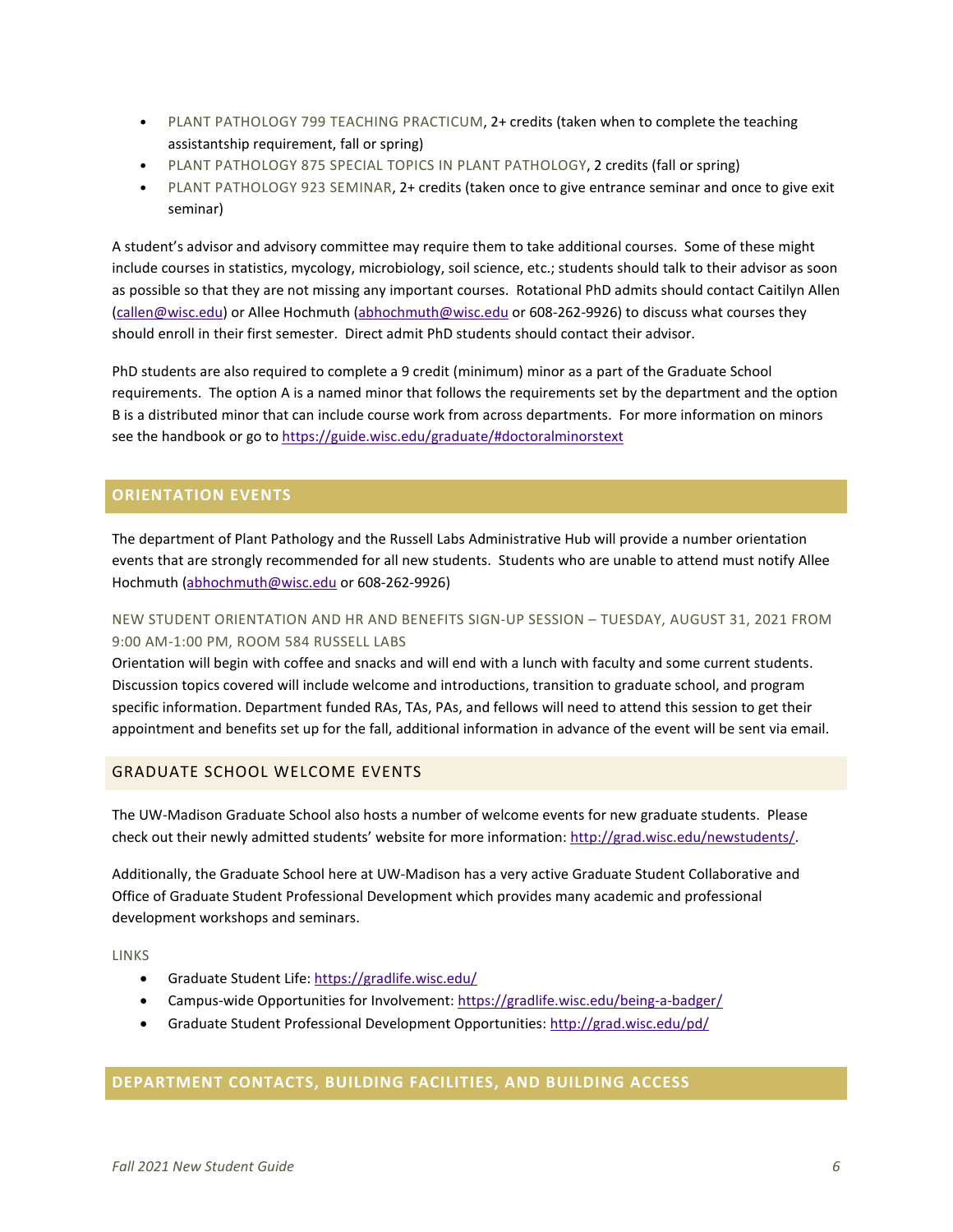- PLANT PATHOLOGY 799 TEACHING PRACTICUM, 2+ credits (taken when to complete the teaching assistantship requirement, fall or spring)
- PLANT PATHOLOGY 875 SPECIAL TOPICS IN PLANT PATHOLOGY, 2 credits (fall or spring)
- PLANT PATHOLOGY 923 SEMINAR, 2+ credits (taken once to give entrance seminar and once to give exit seminar)

A student's advisor and advisory committee may require them to take additional courses. Some of these might include courses in statistics, mycology, microbiology, soil science, etc.; students should talk to their advisor as soon as possible so that they are not missing any important courses. Rotational PhD admits should contact Caitilyn Allen [\(callen@wisc.edu\)](mailto:callen@wisc.edu) or Allee Hochmuth [\(abhochmuth@wisc.edu](mailto:abhochmuth@wisc.edu) or 608-262-9926) to discuss what courses they should enroll in their first semester. Direct admit PhD students should contact their advisor.

PhD students are also required to complete a 9 credit (minimum) minor as a part of the Graduate School requirements. The option A is a named minor that follows the requirements set by the department and the option B is a distributed minor that can include course work from across departments. For more information on minors see the handbook or go t[o https://guide.wisc.edu/graduate/#doctoralminorstext](https://guide.wisc.edu/graduate/#doctoralminorstext)

# <span id="page-5-0"></span>**ORIENTATION EVENTS**

The department of Plant Pathology and the Russell Labs Administrative Hub will provide a number orientation events that are strongly recommended for all new students. Students who are unable to attend must notify Allee Hochmuth [\(abhochmuth@wisc.edu](mailto:abhochmuth@wisc.edu) or 608-262-9926)

# <span id="page-5-1"></span>NEW STUDENT ORIENTATION AND HR AND BENEFITS SIGN-UP SESSION – TUESDAY, AUGUST 31, 2021 FROM 9:00 AM-1:00 PM, ROOM 584 RUSSELL LABS

Orientation will begin with coffee and snacks and will end with a lunch with faculty and some current students. Discussion topics covered will include welcome and introductions, transition to graduate school, and program specific information. Department funded RAs, TAs, PAs, and fellows will need to attend this session to get their appointment and benefits set up for the fall, additional information in advance of the event will be sent via email.

# GRADUATE SCHOOL WELCOME EVENTS

The UW-Madison Graduate School also hosts a number of welcome events for new graduate students. Please check out their newly admitted students' website for more information: [http://grad.wisc.edu/newstudents/.](http://grad.wisc.edu/newstudents/)

Additionally, the Graduate School here at UW-Madison has a very active Graduate Student Collaborative and Office of Graduate Student Professional Development which provides many academic and professional development workshops and seminars.

LINKS

- Graduate Student Life:<https://gradlife.wisc.edu/>
- Campus-wide Opportunities for Involvement:<https://gradlife.wisc.edu/being-a-badger/>
- Graduate Student Professional Development Opportunities[: http://grad.wisc.edu/pd/](http://grad.wisc.edu/pd/)

# <span id="page-5-2"></span>**DEPARTMENT CONTACTS, BUILDING FACILITIES, AND BUILDING ACCESS**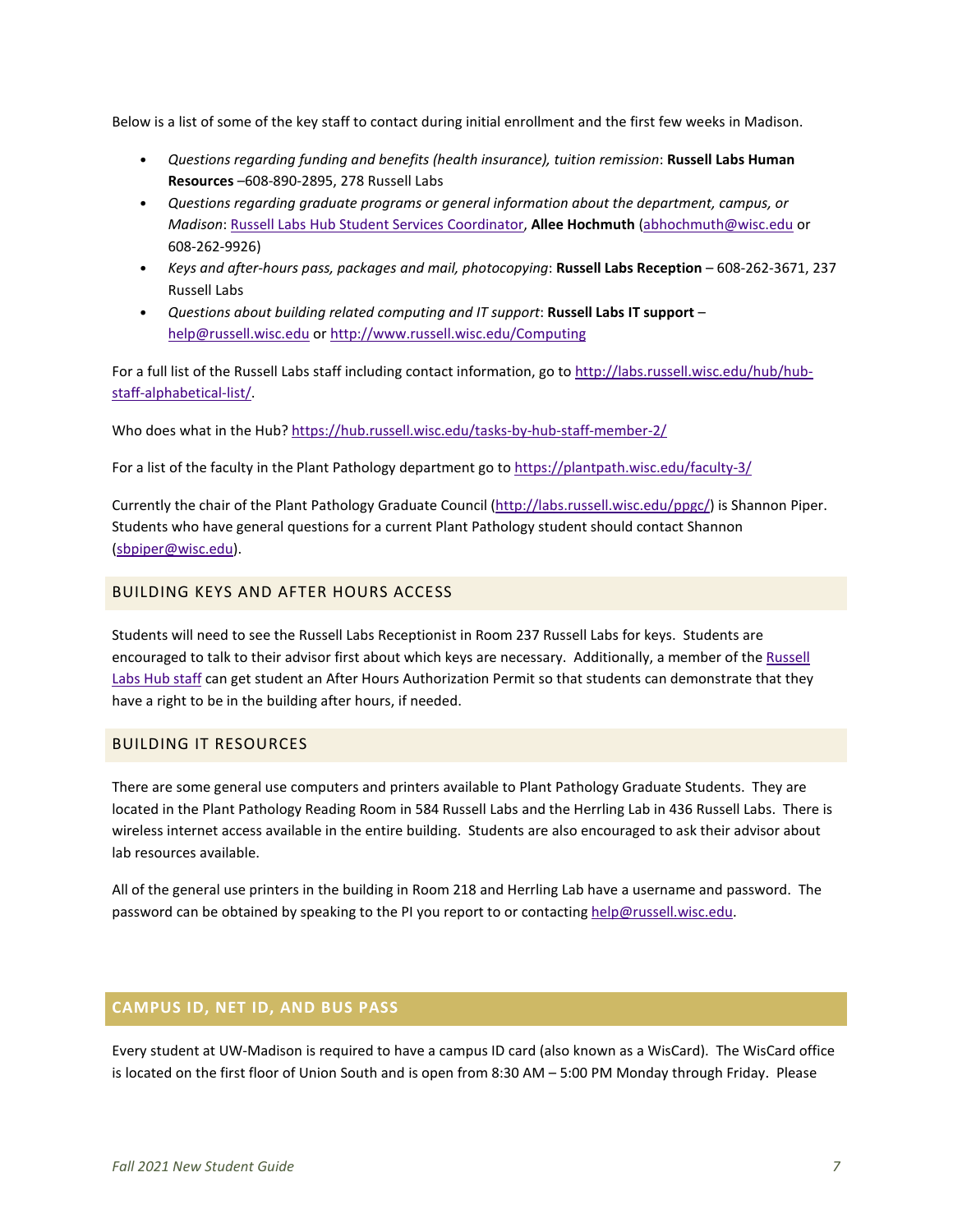Below is a list of some of the key staff to contact during initial enrollment and the first few weeks in Madison.

- *Questions regarding funding and benefits (health insurance), tuition remission*: **Russell Labs Human Resources** –608-890-2895, 278 Russell Labs
- *Questions regarding graduate programs or general information about the department, campus, or Madison*: [Russell Labs Hub Student Services Coordinator,](https://hub.russell.wisc.edu/student-services/) **Allee Hochmuth** [\(abhochmuth@wisc.edu](mailto:abhochmuth@wisc.edu) or 608-262-9926)
- *Keys and after-hours pass, packages and mail, photocopying*: **Russell Labs Reception** 608-262-3671, 237 Russell Labs
- *Questions about building related computing and IT support*: **Russell Labs IT support** [help@russell.wisc.edu](mailto:help@russell.wisc.edu) or<http://www.russell.wisc.edu/Computing>

For a full list of the Russell Labs staff including contact information, go t[o http://labs.russell.wisc.edu/hub/hub](http://labs.russell.wisc.edu/hub/hub-staff-alphabetical-list/)[staff-alphabetical-list/.](http://labs.russell.wisc.edu/hub/hub-staff-alphabetical-list/)

Who does what in the Hub[? https://hub.russell.wisc.edu/tasks-by-hub-staff-member-2/](https://hub.russell.wisc.edu/tasks-by-hub-staff-member-2/)

For a list of the faculty in the Plant Pathology department go t[o https://plantpath.wisc.edu/faculty-3/](https://plantpath.wisc.edu/faculty-3/)

Currently the chair of the Plant Pathology Graduate Council [\(http://labs.russell.wisc.edu/ppgc/\)](http://labs.russell.wisc.edu/ppgc/) is Shannon Piper. Students who have general questions for a current Plant Pathology student should contact Shannon [\(sbpiper@wisc.edu\)](mailto:sbpiper@wisc.edu).

# <span id="page-6-0"></span>BUILDING KEYS AND AFTER HOURS ACCESS

<span id="page-6-1"></span>Students will need to see the Russell Labs Receptionist in Room 237 Russell Labs for keys. Students are encouraged to talk to their advisor first about which keys are necessary. Additionally, a member of th[e Russell](https://hub.russell.wisc.edu/tasks-by-hub-staff-member-2/)  [Labs Hub staff](https://hub.russell.wisc.edu/tasks-by-hub-staff-member-2/) can get student an After Hours Authorization Permit so that students can demonstrate that they have a right to be in the building after hours, if needed.

## BUILDING IT RESOURCES

There are some general use computers and printers available to Plant Pathology Graduate Students. They are located in the Plant Pathology Reading Room in 584 Russell Labs and the Herrling Lab in 436 Russell Labs. There is wireless internet access available in the entire building. Students are also encouraged to ask their advisor about lab resources available.

All of the general use printers in the building in Room 218 and Herrling Lab have a username and password. The password can be obtained by speaking to the PI you report to or contacting [help@russell.wisc.edu.](mailto:help@russell.wisc.edu)

## <span id="page-6-2"></span>**CAMPUS ID, NET ID, AND BUS PASS**

Every student at UW-Madison is required to have a campus ID card (also known as a WisCard). The WisCard office is located on the first floor of Union South and is open from 8:30 AM – 5:00 PM Monday through Friday. Please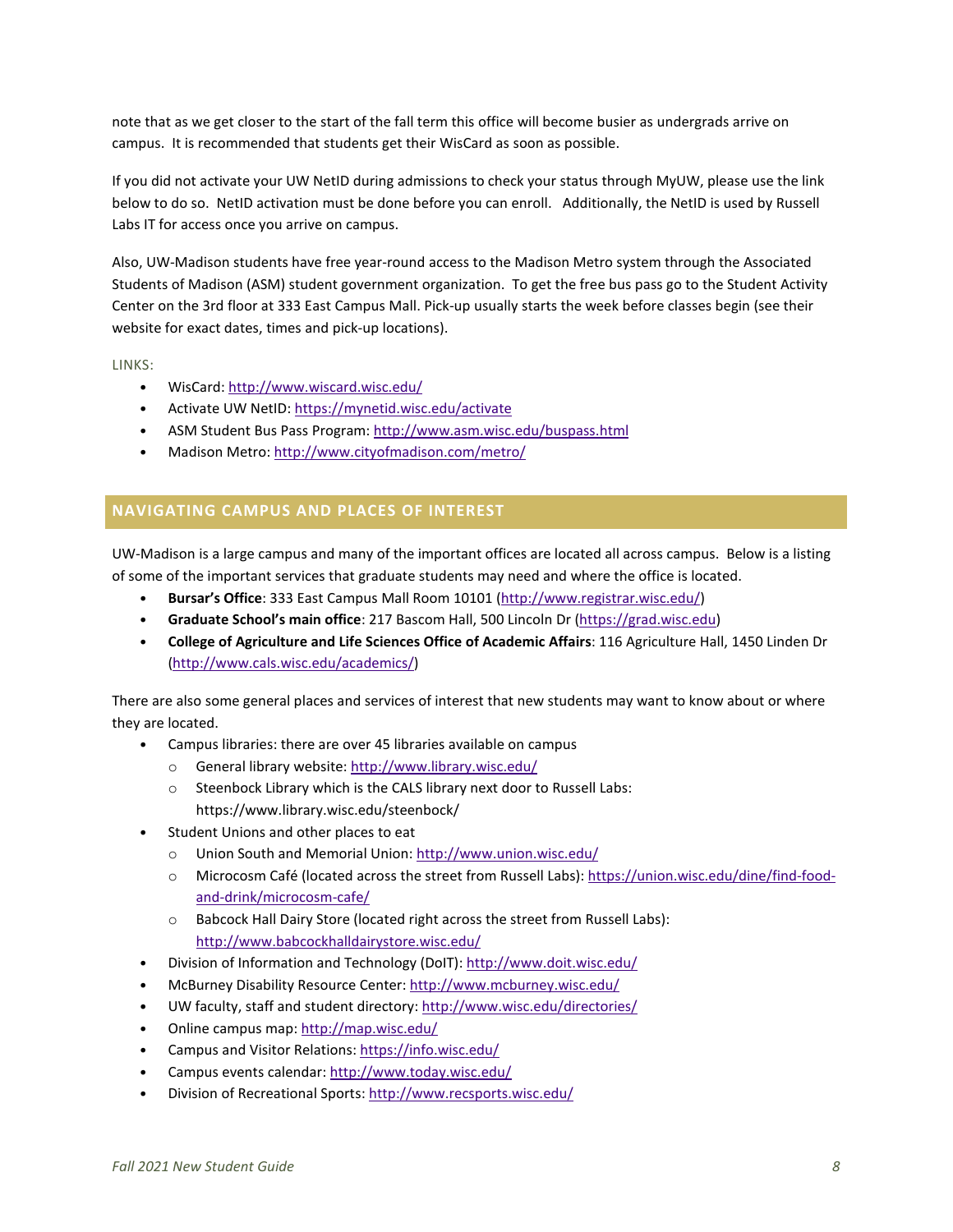note that as we get closer to the start of the fall term this office will become busier as undergrads arrive on campus. It is recommended that students get their WisCard as soon as possible.

If you did not activate your UW NetID during admissions to check your status through MyUW, please use the link below to do so. NetID activation must be done before you can enroll. Additionally, the NetID is used by Russell Labs IT for access once you arrive on campus.

Also, UW-Madison students have free year-round access to the Madison Metro system through the Associated Students of Madison (ASM) student government organization. To get the free bus pass go to the Student Activity Center on the 3rd floor at 333 East Campus Mall. Pick-up usually starts the week before classes begin (see their website for exact dates, times and pick-up locations).

LINKS:

- WisCard:<http://www.wiscard.wisc.edu/>
- Activate UW NetID[: https://mynetid.wisc.edu/activate](https://mynetid.wisc.edu/activate)
- ASM Student Bus Pass Program:<http://www.asm.wisc.edu/buspass.html>
- Madison Metro:<http://www.cityofmadison.com/metro/>

# <span id="page-7-0"></span>**NAVIGATING CAMPUS AND PLACES OF INTEREST**

UW-Madison is a large campus and many of the important offices are located all across campus. Below is a listing of some of the important services that graduate students may need and where the office is located.

- **Bursar's Office**: 333 East Campus Mall Room 10101 [\(http://www.registrar.wisc.edu/\)](http://www.registrar.wisc.edu/)
- **Graduate School's main office**: 217 Bascom Hall, 500 Lincoln Dr [\(https://grad.wisc.edu\)](https://grad.wisc.edu/)
- **College of Agriculture and Life Sciences Office of Academic Affairs**: 116 Agriculture Hall, 1450 Linden Dr [\(http://www.cals.wisc.edu/academics/\)](http://www.cals.wisc.edu/academics/)

There are also some general places and services of interest that new students may want to know about or where they are located.

- Campus libraries: there are over 45 libraries available on campus
	- o General library website[: http://www.library.wisc.edu/](http://www.library.wisc.edu/)
	- o Steenbock Library which is the CALS library next door to Russell Labs: https://www.library.wisc.edu/steenbock/
- Student Unions and other places to eat
	- o Union South and Memorial Union[: http://www.union.wisc.edu/](http://www.union.wisc.edu/)
	- o Microcosm Café (located across the street from Russell Labs): [https://union.wisc.edu/dine/find-food](https://union.wisc.edu/dine/find-food-and-drink/microcosm-cafe/)[and-drink/microcosm-cafe/](https://union.wisc.edu/dine/find-food-and-drink/microcosm-cafe/)
	- o Babcock Hall Dairy Store (located right across the street from Russell Labs): <http://www.babcockhalldairystore.wisc.edu/>
- Division of Information and Technology (DoIT):<http://www.doit.wisc.edu/>
- McBurney Disability Resource Center[: http://www.mcburney.wisc.edu/](http://www.mcburney.wisc.edu/)
- UW faculty, staff and student directory:<http://www.wisc.edu/directories/>
- Online campus map[: http://map.wisc.edu/](http://map.wisc.edu/)
- Campus and Visitor Relations[: https://info.wisc.edu/](https://info.wisc.edu/)
- Campus events calendar:<http://www.today.wisc.edu/>
- Division of Recreational Sports:<http://www.recsports.wisc.edu/>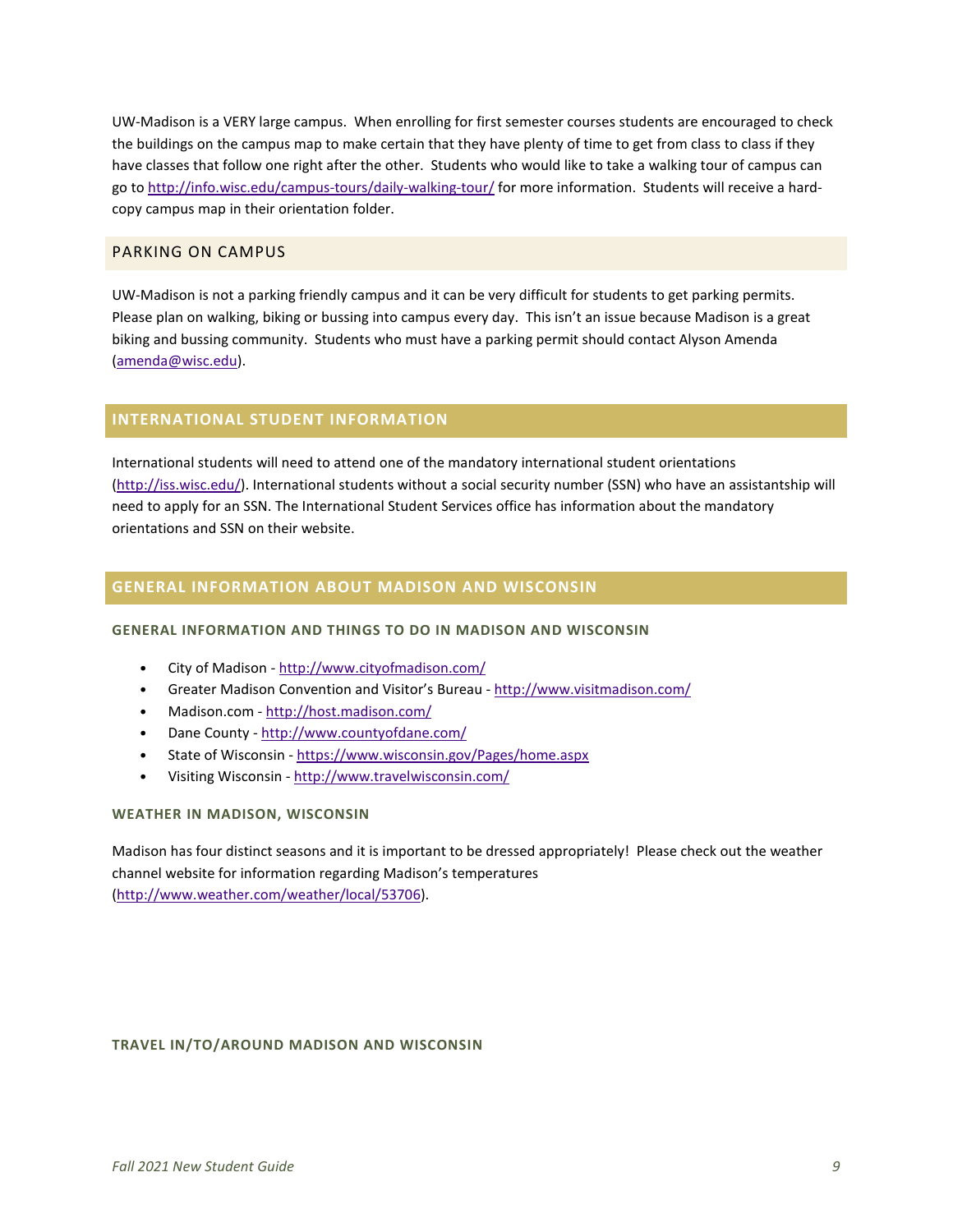UW-Madison is a VERY large campus. When enrolling for first semester courses students are encouraged to check the buildings on the campus map to make certain that they have plenty of time to get from class to class if they have classes that follow one right after the other. Students who would like to take a walking tour of campus can go to<http://info.wisc.edu/campus-tours/daily-walking-tour/> for more information. Students will receive a hardcopy campus map in their orientation folder.

# <span id="page-8-0"></span>PARKING ON CAMPUS

UW-Madison is not a parking friendly campus and it can be very difficult for students to get parking permits. Please plan on walking, biking or bussing into campus every day. This isn't an issue because Madison is a great biking and bussing community. Students who must have a parking permit should contact Alyson Amenda [\(amenda@wisc.edu\)](mailto:amenda@wisc.edu).

# <span id="page-8-1"></span>**INTERNATIONAL STUDENT INFORMATION**

International students will need to attend one of the mandatory international student orientations [\(http://iss.wisc.edu/\)](http://iss.wisc.edu/). International students without a social security number (SSN) who have an assistantship will need to apply for an SSN. The International Student Services office has information about the mandatory orientations and SSN on their website.

## <span id="page-8-2"></span>**GENERAL INFORMATION ABOUT MADISON AND WISCONSIN**

## **GENERAL INFORMATION AND THINGS TO DO IN MADISON AND WISCONSIN**

- City of Madison <http://www.cityofmadison.com/>
- Greater Madison Convention and Visitor's Bureau <http://www.visitmadison.com/>
- Madison.com <http://host.madison.com/>
- Dane County <http://www.countyofdane.com/>
- State of Wisconsin <https://www.wisconsin.gov/Pages/home.aspx>
- Visiting Wisconsin <http://www.travelwisconsin.com/>

## **WEATHER IN MADISON, WISCONSIN**

Madison has four distinct seasons and it is important to be dressed appropriately! Please check out the weather channel website for information regarding Madison's temperatures [\(http://www.weather.com/weather/local/53706\)](http://www.weather.com/weather/local/53706).

## **TRAVEL IN/TO/AROUND MADISON AND WISCONSIN**